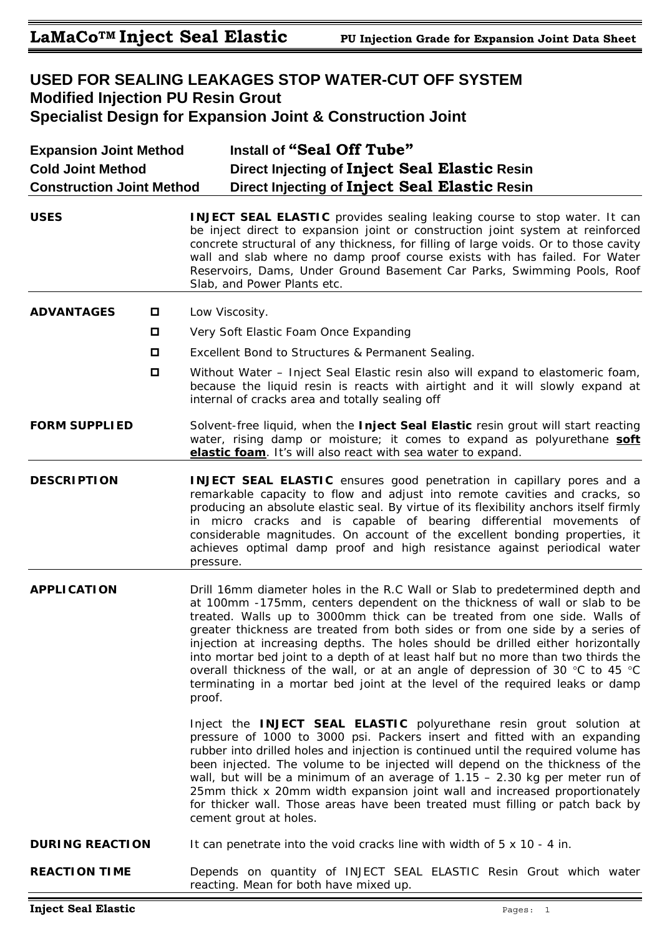# **USED FOR SEALING LEAKAGES STOP WATER-CUT OFF SYSTEM Modified Injection PU Resin Grout Specialist Design for Expansion Joint & Construction Joint**

| <b>Expansion Joint Method</b><br><b>Cold Joint Method</b><br><b>Construction Joint Method</b> |        | Install of "Seal Off Tube"<br>Direct Injecting of Inject Seal Elastic Resin<br>Direct Injecting of Inject Seal Elastic Resin                                                                                                                                                                                                                                                                                                                                                                                                                                                                                                                                              |  |  |
|-----------------------------------------------------------------------------------------------|--------|---------------------------------------------------------------------------------------------------------------------------------------------------------------------------------------------------------------------------------------------------------------------------------------------------------------------------------------------------------------------------------------------------------------------------------------------------------------------------------------------------------------------------------------------------------------------------------------------------------------------------------------------------------------------------|--|--|
| <b>USES</b>                                                                                   |        | <b>INJECT SEAL ELASTIC</b> provides sealing leaking course to stop water. It can<br>be inject direct to expansion joint or construction joint system at reinforced<br>concrete structural of any thickness, for filling of large voids. Or to those cavity<br>wall and slab where no damp proof course exists with has failed. For Water<br>Reservoirs, Dams, Under Ground Basement Car Parks, Swimming Pools, Roof<br>Slab, and Power Plants etc.                                                                                                                                                                                                                        |  |  |
| <b>ADVANTAGES</b>                                                                             | O      | Low Viscosity.                                                                                                                                                                                                                                                                                                                                                                                                                                                                                                                                                                                                                                                            |  |  |
|                                                                                               | 0      | Very Soft Elastic Foam Once Expanding                                                                                                                                                                                                                                                                                                                                                                                                                                                                                                                                                                                                                                     |  |  |
|                                                                                               | 0      | Excellent Bond to Structures & Permanent Sealing.                                                                                                                                                                                                                                                                                                                                                                                                                                                                                                                                                                                                                         |  |  |
|                                                                                               | $\Box$ | Without Water – Inject Seal Elastic resin also will expand to elastomeric foam,<br>because the liquid resin is reacts with airtight and it will slowly expand at<br>internal of cracks area and totally sealing off                                                                                                                                                                                                                                                                                                                                                                                                                                                       |  |  |
| <b>FORM SUPPLIED</b>                                                                          |        | Solvent-free liquid, when the Inject Seal Elastic resin grout will start reacting<br>water, rising damp or moisture; it comes to expand as polyurethane soft<br>elastic foam. It's will also react with sea water to expand.                                                                                                                                                                                                                                                                                                                                                                                                                                              |  |  |
| <b>DESCRIPTION</b>                                                                            |        | <b>INJECT SEAL ELASTIC</b> ensures good penetration in capillary pores and a<br>remarkable capacity to flow and adjust into remote cavities and cracks, so<br>producing an absolute elastic seal. By virtue of its flexibility anchors itself firmly<br>in micro cracks and is capable of bearing differential movements of<br>considerable magnitudes. On account of the excellent bonding properties, it<br>achieves optimal damp proof and high resistance against periodical water<br>pressure.                                                                                                                                                                       |  |  |
| <b>APPLICATION</b>                                                                            |        | Drill 16mm diameter holes in the R.C Wall or Slab to predetermined depth and<br>at 100mm -175mm, centers dependent on the thickness of wall or slab to be<br>treated. Walls up to 3000mm thick can be treated from one side. Walls of<br>greater thickness are treated from both sides or from one side by a series of<br>injection at increasing depths. The holes should be drilled either horizontally<br>into mortar bed joint to a depth of at least half but no more than two thirds the<br>overall thickness of the wall, or at an angle of depression of 30 °C to 45 °C<br>terminating in a mortar bed joint at the level of the required leaks or damp<br>proof. |  |  |
|                                                                                               |        | Inject the INJECT SEAL ELASTIC polyurethane resin grout solution at<br>pressure of 1000 to 3000 psi. Packers insert and fitted with an expanding<br>rubber into drilled holes and injection is continued until the required volume has<br>been injected. The volume to be injected will depend on the thickness of the<br>wall, but will be a minimum of an average of $1.15 - 2.30$ kg per meter run of<br>25mm thick x 20mm width expansion joint wall and increased proportionately<br>for thicker wall. Those areas have been treated must filling or patch back by<br>cement grout at holes.                                                                         |  |  |
| <b>DURING REACTION</b>                                                                        |        | It can penetrate into the void cracks line with width of $5 \times 10 - 4$ in.                                                                                                                                                                                                                                                                                                                                                                                                                                                                                                                                                                                            |  |  |
| <b>REACTION TIME</b>                                                                          |        | Depends on quantity of INJECT SEAL ELASTIC Resin Grout which water<br>reacting. Mean for both have mixed up.                                                                                                                                                                                                                                                                                                                                                                                                                                                                                                                                                              |  |  |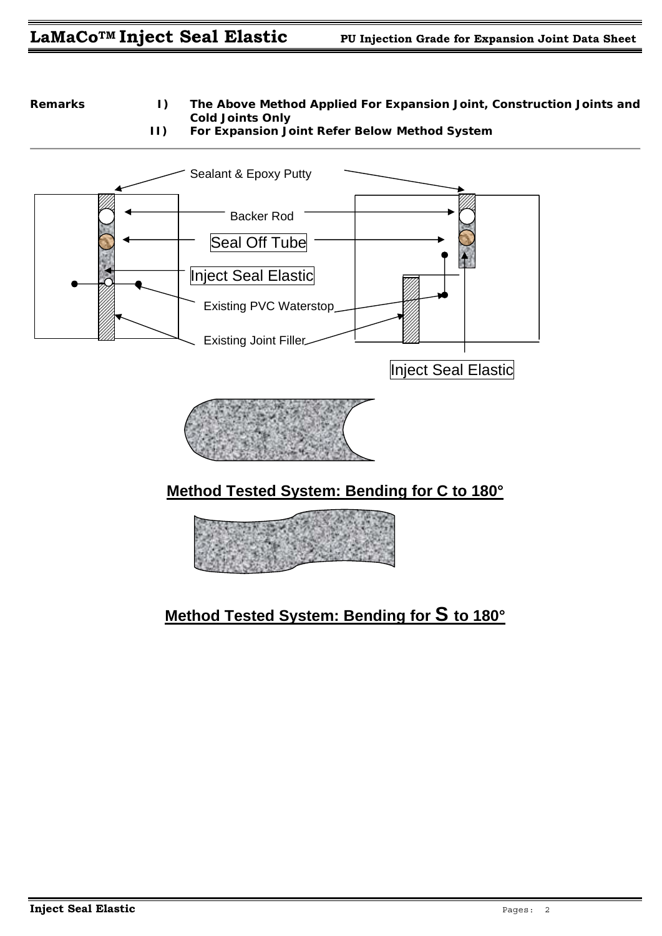# LaMaCo<sup>TM</sup> Inject Seal Elastic PU Injection Grade for Expansion Joint Data Sheet

**Remarks I) The Above Method Applied For Expansion Joint, Construction Joints and Cold Joints Only** 







# **Method Tested System: Bending for C to 180°**



# **Method Tested System: Bending for S to 180°**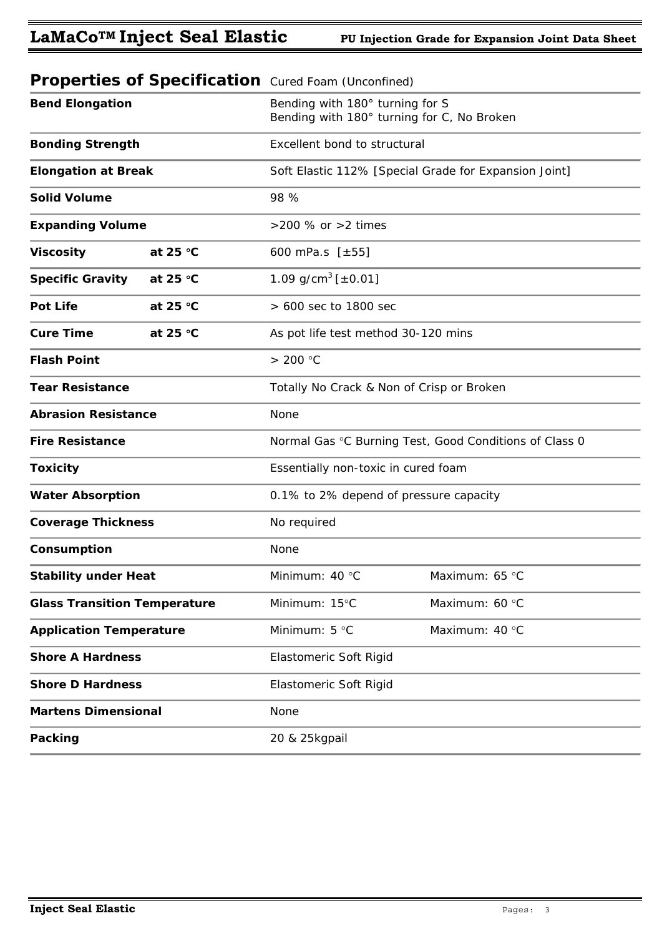|                                     |                   | <b>Poper tree or opposition of the following concerning</b>                   |                |  |
|-------------------------------------|-------------------|-------------------------------------------------------------------------------|----------------|--|
| <b>Bend Elongation</b>              |                   | Bending with 180° turning for S<br>Bending with 180° turning for C, No Broken |                |  |
| <b>Bonding Strength</b>             |                   | Excellent bond to structural                                                  |                |  |
| <b>Elongation at Break</b>          |                   | Soft Elastic 112% [Special Grade for Expansion Joint]                         |                |  |
| <b>Solid Volume</b>                 |                   | 98 %                                                                          |                |  |
| <b>Expanding Volume</b>             |                   | >200 % or >2 times                                                            |                |  |
| <b>Viscosity</b>                    | at 25 $°C$        | 600 mPa.s $[±55]$                                                             |                |  |
| <b>Specific Gravity</b>             | at 25 $\degree$ C | 1.09 g/cm <sup>3</sup> [ $\pm$ 0.01]                                          |                |  |
| <b>Pot Life</b>                     | at 25 $°C$        | > 600 sec to 1800 sec                                                         |                |  |
| <b>Cure Time</b><br>at 25 $°C$      |                   | As pot life test method 30-120 mins                                           |                |  |
| <b>Flash Point</b>                  |                   | > 200 °C                                                                      |                |  |
| <b>Tear Resistance</b>              |                   | Totally No Crack & Non of Crisp or Broken                                     |                |  |
| <b>Abrasion Resistance</b>          |                   | None                                                                          |                |  |
| <b>Fire Resistance</b>              |                   | Normal Gas °C Burning Test, Good Conditions of Class 0                        |                |  |
| <b>Toxicity</b>                     |                   | Essentially non-toxic in cured foam                                           |                |  |
| <b>Water Absorption</b>             |                   | 0.1% to 2% depend of pressure capacity                                        |                |  |
| <b>Coverage Thickness</b>           |                   | No required                                                                   |                |  |
| Consumption                         |                   | None                                                                          |                |  |
| <b>Stability under Heat</b>         |                   | Minimum: 40 °C                                                                | Maximum: 65 °C |  |
| <b>Glass Transition Temperature</b> |                   | Minimum: 15°C                                                                 | Maximum: 60 °C |  |
| <b>Application Temperature</b>      |                   | Minimum: 5 °C                                                                 | Maximum: 40 °C |  |
| <b>Shore A Hardness</b>             |                   | Elastomeric Soft Rigid                                                        |                |  |
| <b>Shore D Hardness</b>             |                   | Elastomeric Soft Rigid                                                        |                |  |
| <b>Martens Dimensional</b>          |                   | None                                                                          |                |  |
| Packing                             |                   | 20 & 25kgpail                                                                 |                |  |

### *Properties of Specification Cured Foam (Unconfined)*